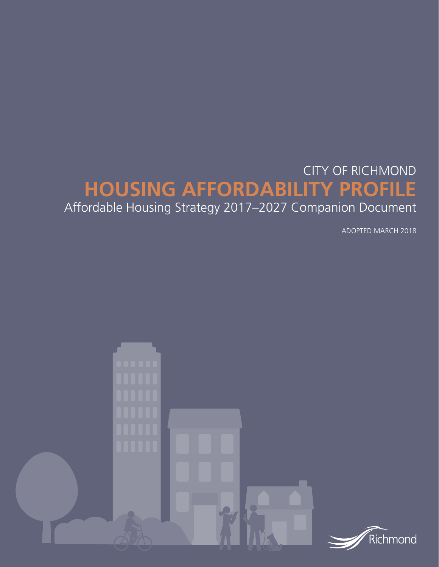## CITY OF RICHMOND **HOUSING AFFORDABILITY PROFILE** Affordable Housing Strategy 2017–2027 Companion Document

ADOPTED MARCH 2018



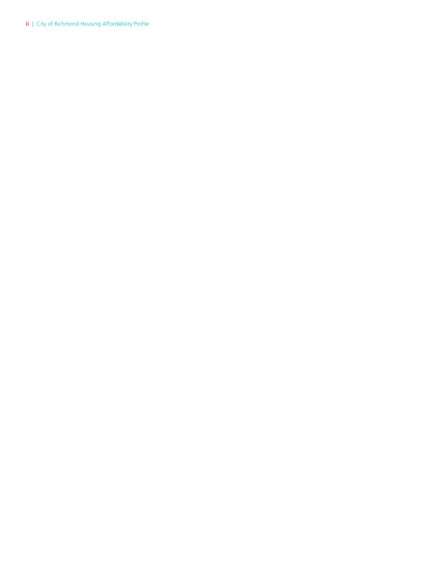**ii** | City of Richmond Housing Affordability Profile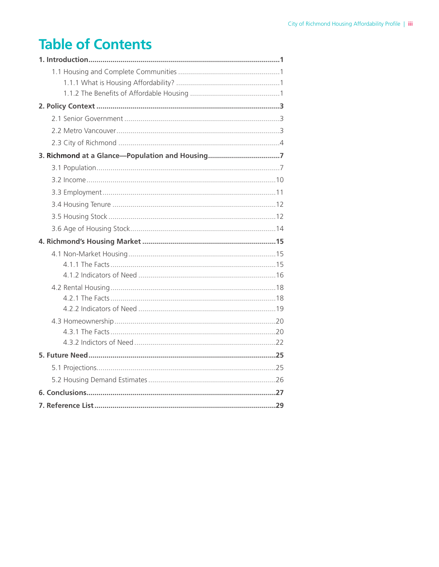## **Table of Contents**

| 3. Richmond at a Glance-Population and Housing7 |  |
|-------------------------------------------------|--|
|                                                 |  |
|                                                 |  |
|                                                 |  |
|                                                 |  |
|                                                 |  |
|                                                 |  |
|                                                 |  |
|                                                 |  |
|                                                 |  |
|                                                 |  |
|                                                 |  |
|                                                 |  |
|                                                 |  |
|                                                 |  |
|                                                 |  |
|                                                 |  |
|                                                 |  |
|                                                 |  |
|                                                 |  |
|                                                 |  |
|                                                 |  |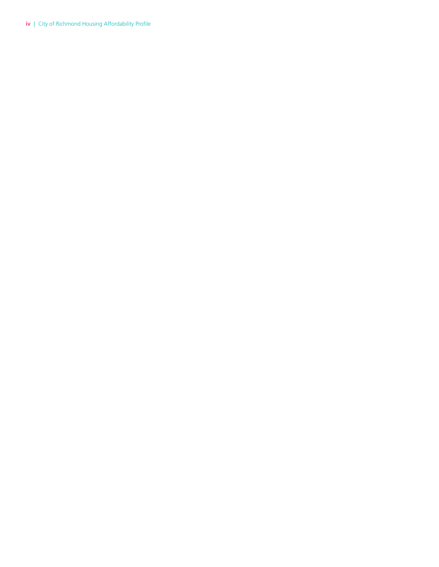**iv** | City of Richmond Housing Affordability Profile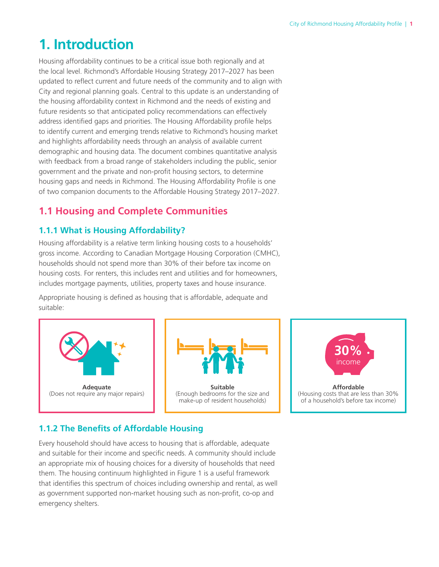## **1. Introduction**

Housing affordability continues to be a critical issue both regionally and at the local level. Richmond's Affordable Housing Strategy 2017–2027 has been updated to reflect current and future needs of the community and to align with City and regional planning goals. Central to this update is an understanding of the housing affordability context in Richmond and the needs of existing and future residents so that anticipated policy recommendations can effectively address identified gaps and priorities. The Housing Affordability profile helps to identify current and emerging trends relative to Richmond's housing market and highlights affordability needs through an analysis of available current demographic and housing data. The document combines quantitative analysis with feedback from a broad range of stakeholders including the public, senior government and the private and non-profit housing sectors, to determine housing gaps and needs in Richmond. The Housing Affordability Profile is one of two companion documents to the Affordable Housing Strategy 2017–2027.

## **1.1 Housing and Complete Communities**

### **1.1.1 What is Housing Affordability?**

Housing affordability is a relative term linking housing costs to a households' gross income. According to Canadian Mortgage Housing Corporation (CMHC), households should not spend more than 30% of their before tax income on housing costs. For renters, this includes rent and utilities and for homeowners, includes mortgage payments, utilities, property taxes and house insurance.

Appropriate housing is defined as housing that is affordable, adequate and suitable:



### **1.1.2 The Benefits of Affordable Housing**

Every household should have access to housing that is affordable, adequate and suitable for their income and specific needs. A community should include an appropriate mix of housing choices for a diversity of households that need them. The housing continuum highlighted in Figure 1 is a useful framework that identifies this spectrum of choices including ownership and rental, as well as government supported non-market housing such as non-profit, co-op and emergency shelters.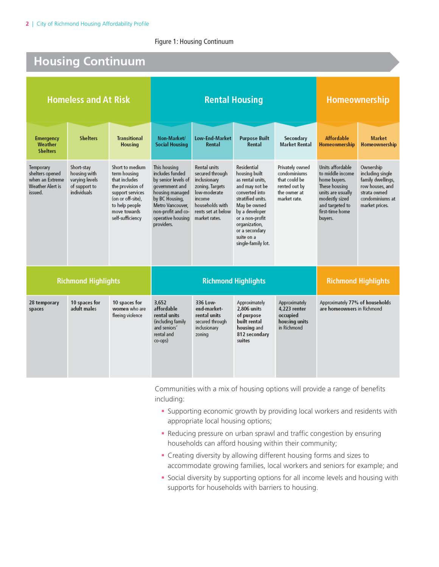#### Figure 1: Housing Continuum

| <b>Housing Continuum</b> |
|--------------------------|
|                          |

|                                                                                | <b>Homeless and At Risk</b>                                                  |                                                                                                                                                                     |                                                                                                                                                                                            | <b>Rental Housing</b>                                                                                                                                  |                                                                                                                                                                                                                                       | Homeownership                                                                                     |                                                                                                                                                               |                                                                                                                            |
|--------------------------------------------------------------------------------|------------------------------------------------------------------------------|---------------------------------------------------------------------------------------------------------------------------------------------------------------------|--------------------------------------------------------------------------------------------------------------------------------------------------------------------------------------------|--------------------------------------------------------------------------------------------------------------------------------------------------------|---------------------------------------------------------------------------------------------------------------------------------------------------------------------------------------------------------------------------------------|---------------------------------------------------------------------------------------------------|---------------------------------------------------------------------------------------------------------------------------------------------------------------|----------------------------------------------------------------------------------------------------------------------------|
| <b>Emergency</b><br>Weather<br><b>Shelters</b>                                 | <b>Shelters</b>                                                              | <b>Transitional</b><br>Housing                                                                                                                                      | Non-Market/<br>Social Housing                                                                                                                                                              | Low-End-Market<br>Rental                                                                                                                               | <b>Purpose Built</b><br>Rental                                                                                                                                                                                                        | Secondary<br><b>Market Rental</b>                                                                 | <b>Affordable</b><br>Homeownership                                                                                                                            | <b>Market</b><br>Homeownership                                                                                             |
| Temporary<br>shelters opened<br>when an Extreme<br>Weather Alert is<br>issued. | Short-stay<br>housing with<br>varying levels<br>of support to<br>individuals | Short to medium<br>term housing<br>that includes<br>the provision of<br>support services<br>(on or off-site),<br>to help people<br>move towards<br>self-sufficiency | This housing<br>includes funded<br>by senior levels of<br>government and<br>housing managed<br>by BC Housing,<br>Metro Vancouver.<br>non-profit and co-<br>operative housing<br>providers. | Rental units<br>secured through<br>inclusionary<br>zoning. Targets<br>low-moderate<br>income<br>households with<br>rents set at below<br>market rates. | Residential<br>housing built<br>as rental units.<br>and may not be<br>converted into<br>stratified units.<br>May be owned<br>by a developer<br>or a non-profit<br>organization,<br>or a secondary<br>suite on a<br>single-family lot. | Privately owned<br>condominiums<br>that could be<br>rented out by<br>the owner at<br>market rate. | Units affordable<br>to middle income<br>home buyers.<br>These housing<br>units are usually<br>modestly sized<br>and targeted to<br>first-time home<br>buyers. | Ownership<br>including single<br>family dwellings,<br>row houses, and<br>strata owned<br>condominiums at<br>market prices. |
|                                                                                | <b>Richmond Highlights</b>                                                   |                                                                                                                                                                     |                                                                                                                                                                                            | <b>Richmond Highlights</b>                                                                                                                             |                                                                                                                                                                                                                                       |                                                                                                   |                                                                                                                                                               | <b>Richmond Highlights</b>                                                                                                 |
| 28 temporary<br>spaces                                                         | 10 spaces for<br>adult males                                                 | 10 spaces for<br>women who are<br>fleeing violence                                                                                                                  | 3.652<br>affordable<br>rental units<br>(including family<br>and seniors'<br>rental and<br>co-ops)                                                                                          | 336 Low-<br>end-market-<br>rental units<br>secured through<br>inclusionary<br>zoning                                                                   | Approximately<br>2,806 units<br>of purpose<br>built rental<br>housing and<br>812 secondary<br>suites                                                                                                                                  | Approximately<br>4.223 renter<br>occupied<br>housing units<br>in Richmond                         | Approximately 77% of households<br>are homeowners in Richmond                                                                                                 |                                                                                                                            |

Communities with a mix of housing options will provide a range of benefits including:

- Supporting economic growth by providing local workers and residents with appropriate local housing options;
- Reducing pressure on urban sprawl and traffic congestion by ensuring households can afford housing within their community;
- Creating diversity by allowing different housing forms and sizes to accommodate growing families, local workers and seniors for example; and
- Social diversity by supporting options for all income levels and housing with supports for households with barriers to housing.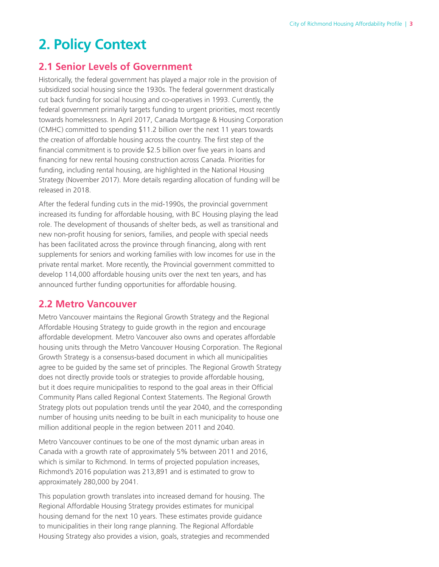## **2. Policy Context**

### **2.1 Senior Levels of Government**

Historically, the federal government has played a major role in the provision of subsidized social housing since the 1930s. The federal government drastically cut back funding for social housing and co-operatives in 1993. Currently, the federal government primarily targets funding to urgent priorities, most recently towards homelessness. In April 2017, Canada Mortgage & Housing Corporation (CMHC) committed to spending \$11.2 billion over the next 11 years towards the creation of affordable housing across the country. The first step of the financial commitment is to provide \$2.5 billion over five years in loans and financing for new rental housing construction across Canada. Priorities for funding, including rental housing, are highlighted in the National Housing Strategy (November 2017). More details regarding allocation of funding will be released in 2018.

After the federal funding cuts in the mid-1990s, the provincial government increased its funding for affordable housing, with BC Housing playing the lead role. The development of thousands of shelter beds, as well as transitional and new non-profit housing for seniors, families, and people with special needs has been facilitated across the province through financing, along with rent supplements for seniors and working families with low incomes for use in the private rental market. More recently, the Provincial government committed to develop 114,000 affordable housing units over the next ten years, and has announced further funding opportunities for affordable housing.

### **2.2 Metro Vancouver**

Metro Vancouver maintains the Regional Growth Strategy and the Regional Affordable Housing Strategy to guide growth in the region and encourage affordable development. Metro Vancouver also owns and operates affordable housing units through the Metro Vancouver Housing Corporation. The Regional Growth Strategy is a consensus-based document in which all municipalities agree to be guided by the same set of principles. The Regional Growth Strategy does not directly provide tools or strategies to provide affordable housing, but it does require municipalities to respond to the goal areas in their Official Community Plans called Regional Context Statements. The Regional Growth Strategy plots out population trends until the year 2040, and the corresponding number of housing units needing to be built in each municipality to house one million additional people in the region between 2011 and 2040.

Metro Vancouver continues to be one of the most dynamic urban areas in Canada with a growth rate of approximately 5% between 2011 and 2016, which is similar to Richmond. In terms of projected population increases, Richmond's 2016 population was 213,891 and is estimated to grow to approximately 280,000 by 2041.

This population growth translates into increased demand for housing. The Regional Affordable Housing Strategy provides estimates for municipal housing demand for the next 10 years. These estimates provide guidance to municipalities in their long range planning. The Regional Affordable Housing Strategy also provides a vision, goals, strategies and recommended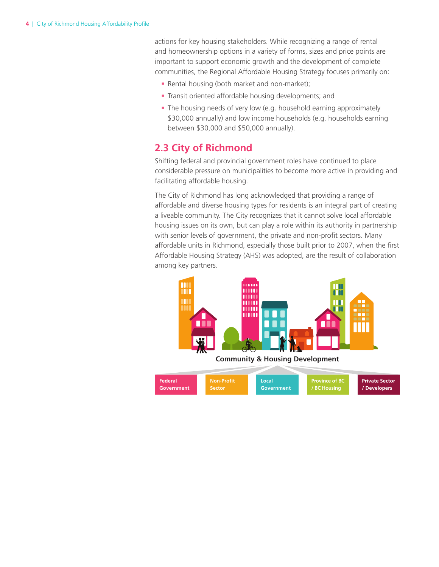actions for key housing stakeholders. While recognizing a range of rental and homeownership options in a variety of forms, sizes and price points are important to support economic growth and the development of complete communities, the Regional Affordable Housing Strategy focuses primarily on:

- Rental housing (both market and non-market);
- **Transit oriented affordable housing developments; and**
- The housing needs of very low (e.g. household earning approximately \$30,000 annually) and low income households (e.g. households earning between \$30,000 and \$50,000 annually).

## **2.3 City of Richmond**

Shifting federal and provincial government roles have continued to place considerable pressure on municipalities to become more active in providing and facilitating affordable housing.

The City of Richmond has long acknowledged that providing a range of affordable and diverse housing types for residents is an integral part of creating a liveable community. The City recognizes that it cannot solve local affordable housing issues on its own, but can play a role within its authority in partnership with senior levels of government, the private and non-profit sectors. Many affordable units in Richmond, especially those built prior to 2007, when the first Affordable Housing Strategy (AHS) was adopted, are the result of collaboration among key partners.



**Community & Housing Development**

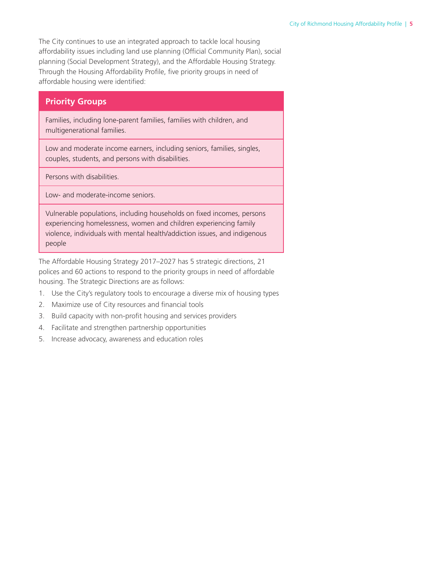The City continues to use an integrated approach to tackle local housing affordability issues including land use planning (Official Community Plan), social planning (Social Development Strategy), and the Affordable Housing Strategy. Through the Housing Affordability Profile, five priority groups in need of affordable housing were identified:

### **Priority Groups**

Families, including lone-parent families, families with children, and multigenerational families.

Low and moderate income earners, including seniors, families, singles, couples, students, and persons with disabilities.

Persons with disabilities.

Low- and moderate-income seniors.

Vulnerable populations, including households on fixed incomes, persons experiencing homelessness, women and children experiencing family violence, individuals with mental health/addiction issues, and indigenous people

The Affordable Housing Strategy 2017–2027 has 5 strategic directions, 21 polices and 60 actions to respond to the priority groups in need of affordable housing. The Strategic Directions are as follows:

- 1. Use the City's regulatory tools to encourage a diverse mix of housing types
- 2. Maximize use of City resources and financial tools
- 3. Build capacity with non-profit housing and services providers
- 4. Facilitate and strengthen partnership opportunities
- 5. Increase advocacy, awareness and education roles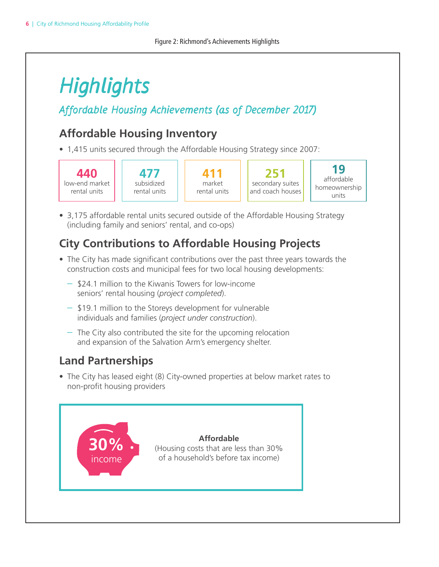# **Highlights**

**Affordable Housing Achievements (as of December 2017)**

## **Affordable Housing Inventory**

• 1,415 units secured through the Affordable Housing Strategy since 2007:



• 3,175 affordable rental units secured outside of the Affordable Housing Strategy (including family and seniors' rental, and co-ops)

## **City Contributions to Affordable Housing Projects**

- The City has made significant contributions over the past three years towards the construction costs and municipal fees for two local housing developments:
	- \$24.1 million to the Kiwanis Towers for low-income seniors' rental housing (*project completed*).
	- \$19.1 million to the Storeys development for vulnerable individuals and families (*project under construction*).
	- The City also contributed the site for the upcoming relocation and expansion of the Salvation Arm's emergency shelter.

## **Land Partnerships**

• The City has leased eight (8) City-owned properties at below market rates to non-profit housing providers

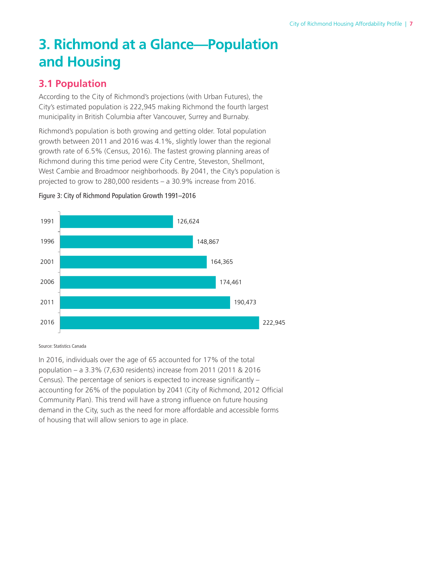## **3. Richmond at a Glance—Population and Housing**

## **3.1 Population**

According to the City of Richmond's projections (with Urban Futures), the City's estimated population is 222,945 making Richmond the fourth largest municipality in British Columbia after Vancouver, Surrey and Burnaby.

Richmond's population is both growing and getting older. Total population growth between 2011 and 2016 was 4.1%, slightly lower than the regional growth rate of 6.5% (Census, 2016). The fastest growing planning areas of Richmond during this time period were City Centre, Steveston, Shellmont, West Cambie and Broadmoor neighborhoods. By 2041, the City's population is projected to grow to 280,000 residents – a 30.9% increase from 2016.





Source: Statistics Canada

In 2016, individuals over the age of 65 accounted for 17% of the total population – a 3.3% (7,630 residents) increase from 2011 (2011 & 2016 Census). The percentage of seniors is expected to increase significantly – accounting for 26% of the population by 2041 (City of Richmond, 2012 Official Community Plan). This trend will have a strong influence on future housing demand in the City, such as the need for more affordable and accessible forms of housing that will allow seniors to age in place.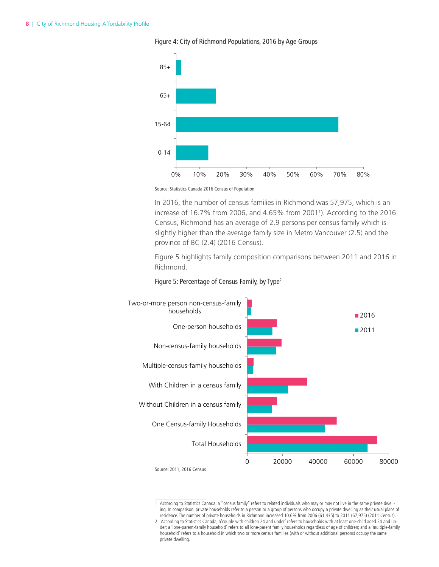

Figure 4: City of Richmond Populations, 2016 by Age Groups

In 2016, the number of census families in Richmond was 57,975, which is an increase of 16.7% from 2006, and 4.65% from 20011 ). According to the 2016 Census, Richmond has an average of 2.9 persons per census family which is slightly higher than the average family size in Metro Vancouver (2.5) and the province of BC (2.4) (2016 Census).

Figure 5 highlights family composition comparisons between 2011 and 2016 in Richmond.

#### Figure 5: Percentage of Census Family, by Type<sup>2</sup>



<sup>1</sup> According to Statistics Canada, a "census family" refers to related individuals who may or may not live in the same private dwelling. In comparison, private households refer to a person or a group of persons who occupy a private dwelling as their usual place of residence. The number of private households in Richmond increased 10.6% from 2006 (61,435) to 2011 (67,975) (2011 Census).

Source: Statistics Canada 2016 Census of Population

<sup>2</sup> According to Statistics Canada, a'couple with children 24 and under' refers to households with at least one-child aged 24 and under; a 'lone-parent-family household' refers to all lone-parent family households regardless of age of children; and a 'multiple-family household' refers to a household in which two or more census families (with or without additional persons) occupy the same private dwelling.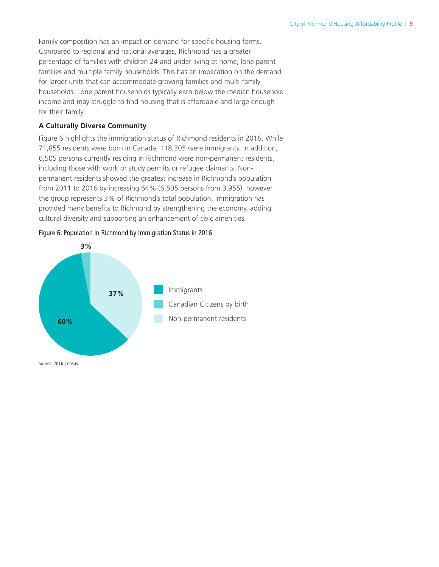Family composition has an impact on demand for specific housing forms. Compared to regional and national averages, Richmond has a greater percentage of families with children 24 and under living at home, lone parent families and multiple family households. This has an implication on the demand for larger units that can accommodate growing families and multi-family households. Lone parent households typically earn below the median household income and may struggle to find housing that is affordable and large enough for their family.

#### **A Culturally Diverse Community**

Figure 6 highlights the immigration status of Richmond residents in 2016. While 71,855 residents were born in Canada, 118,305 were immigrants. In addition, 6,505 persons currently residing in Richmond were non-permanent residents, including those with work or study permits or refugee claimants. Nonpermanent residents showed the greatest increase in Richmond's population from 2011 to 2016 by increasing 64% (6,505 persons from 3,955), however the group represents 3% of Richmond's total population. Immigration has provided many benefits to Richmond by strengthening the economy, adding cultural diversity and supporting an enhancement of civic amenities.

#### Figure 6: Population in Richmond by Immigration Status in 2016



Source: 2016 Census.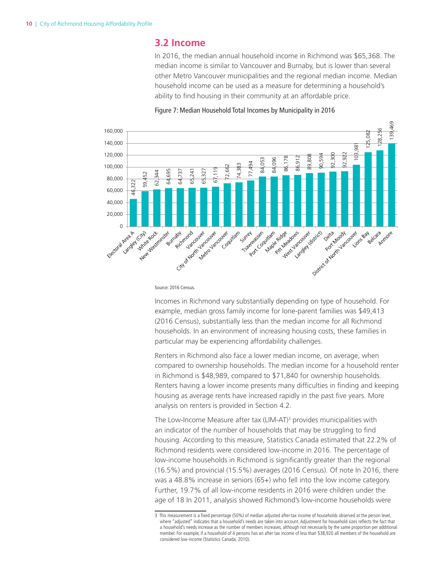#### **3.2 Income**

In 2016, the median annual household income in Richmond was \$65,368. The median income is similar to Vancouver and Burnaby, but is lower than several other Metro Vancouver municipalities and the regional median income. Median household income can be used as a measure for determining a household's ability to find housing in their community at an affordable price.



#### Figure 7: Median Household Total Incomes by Municipality in 2016

Source: 2016 Census.

Incomes in Richmond vary substantially depending on type of household. For example, median gross family income for lone-parent families was \$49,413 (2016 Census), substantially less than the median income for all Richmond households. In an environment of increasing housing costs, these families in particular may be experiencing affordability challenges.

Renters in Richmond also face a lower median income, on average, when compared to ownership households. The median income for a household renter in Richmond is \$48,989, compared to \$71,840 for ownership households. Renters having a lower income presents many difficulties in finding and keeping housing as average rents have increased rapidly in the past five years. More analysis on renters is provided in Section 4.2.

The Low-Income Measure after tax (LIM-AT)<sup>3</sup> provides municipalities with an indicator of the number of households that may be struggling to find housing. According to this measure, Statistics Canada estimated that 22.2% of Richmond residents were considered low-income in 2016. The percentage of low-income households in Richmond is significantly greater than the regional (16.5%) and provincial (15.5%) averages (2016 Census). Of note In 2016, there was a 48.8% increase in seniors (65+) who fell into the low income category. Further, 19.7% of all low-income residents in 2016 were children under the age of 18 In 2011, analysis showed Richmond's low-income households were

<sup>3</sup> This measurement is a fixed percentage (50%) of median adjusted after-tax income of households observed at the person level, where "adjusted" indicates that a household's needs are taken into account. Adjustment for household sizes reflects the fact that a household's needs increase as the number of members increases, although not necessarily by the same proportion per additional member. For example, if a household of 4 persons has an after tax income of less than \$38,920 all members of the household are considered low-income (Statistics Canada, 2010).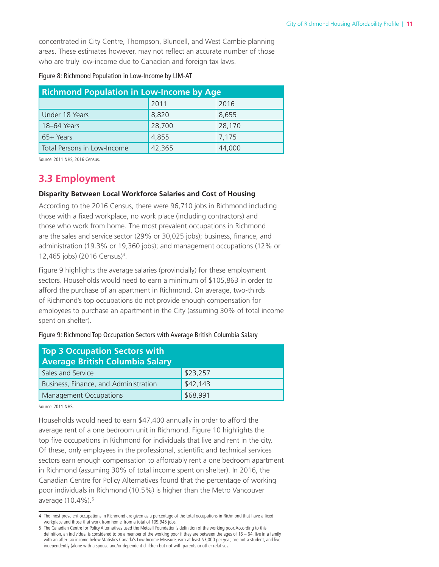concentrated in City Centre, Thompson, Blundell, and West Cambie planning areas. These estimates however, may not reflect an accurate number of those who are truly low-income due to Canadian and foreign tax laws.

| Figure 8: Richmond Population in Low-Income by LIM-AT |  |  |  |
|-------------------------------------------------------|--|--|--|
|-------------------------------------------------------|--|--|--|

| <b>Richmond Population in Low-Income by Age</b> |        |        |  |  |  |  |
|-------------------------------------------------|--------|--------|--|--|--|--|
|                                                 | 2011   | 2016   |  |  |  |  |
| Under 18 Years                                  | 8,820  | 8,655  |  |  |  |  |
| 18-64 Years                                     | 28,700 | 28,170 |  |  |  |  |
| 65+ Years                                       | 4,855  | 7,175  |  |  |  |  |
| Total Persons in Low-Income                     | 42,365 | 44,000 |  |  |  |  |

Source: 2011 NHS, 2016 Census.

### **3.3 Employment**

#### **Disparity Between Local Workforce Salaries and Cost of Housing**

According to the 2016 Census, there were 96,710 jobs in Richmond including those with a fixed workplace, no work place (including contractors) and those who work from home. The most prevalent occupations in Richmond are the sales and service sector (29% or 30,025 jobs); business, finance, and administration (19.3% or 19,360 jobs); and management occupations (12% or 12,465 jobs) (2016 Census)4 .

Figure 9 highlights the average salaries (provincially) for these employment sectors. Households would need to earn a minimum of \$105,863 in order to afford the purchase of an apartment in Richmond. On average, two-thirds of Richmond's top occupations do not provide enough compensation for employees to purchase an apartment in the City (assuming 30% of total income spent on shelter).

#### Figure 9: Richmond Top Occupation Sectors with Average British Columbia Salary

| <b>Top 3 Occupation Sectors with</b><br><b>Average British Columbia Salary</b> |          |
|--------------------------------------------------------------------------------|----------|
| Sales and Service                                                              | \$23,257 |
| Business, Finance, and Administration                                          | \$42,143 |
| Management Occupations                                                         | \$68,991 |

Source: 2011 NHS.

Households would need to earn \$47,400 annually in order to afford the average rent of a one bedroom unit in Richmond. Figure 10 highlights the top five occupations in Richmond for individuals that live and rent in the city. Of these, only employees in the professional, scientific and technical services sectors earn enough compensation to affordably rent a one bedroom apartment in Richmond (assuming 30% of total income spent on shelter). In 2016, the Canadian Centre for Policy Alternatives found that the percentage of working poor individuals in Richmond (10.5%) is higher than the Metro Vancouver average (10.4%).5

<sup>4</sup> The most prevalent occupations in Richmond are given as a percentage of the total occupations in Richmond that have a fixed workplace and those that work from home, from a total of 109,945 jobs.

<sup>5</sup> The Canadian Centre for Policy Alternatives used the Metcalf Foundation's definition of the working poor. According to this definition, an individual is considered to be a member of the working poor if they are between the ages of 18 – 64, live in a family with an after-tax income below Statistics Canada's Low Income Measure, earn at least \$3,000 per year, are not a student, and live independently (alone with a spouse and/or dependent children but not with parents or other relatives.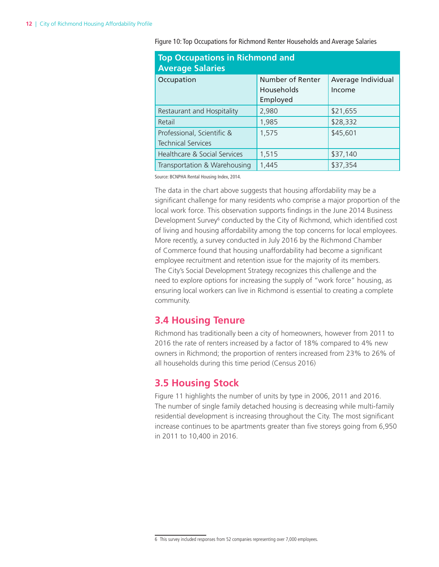Figure 10: Top Occupations for Richmond Renter Households and Average Salaries

| <b>Top Occupations in Richmond and</b><br><b>Average Salaries</b> |                        |                    |  |  |  |  |  |
|-------------------------------------------------------------------|------------------------|--------------------|--|--|--|--|--|
| Occupation                                                        | Number of Renter       | Average Individual |  |  |  |  |  |
|                                                                   | Households<br>Employed | Income             |  |  |  |  |  |
| Restaurant and Hospitality                                        | 2,980                  | \$21,655           |  |  |  |  |  |
| Retail                                                            | 1,985                  | \$28,332           |  |  |  |  |  |
| Professional, Scientific &<br><b>Technical Services</b>           | 1,575                  | \$45,601           |  |  |  |  |  |
| Healthcare & Social Services                                      | 1,515                  | \$37,140           |  |  |  |  |  |
| Transportation & Warehousing                                      | 1,445                  | \$37,354           |  |  |  |  |  |

Source: BCNPHA Rental Housing Index, 2014.

The data in the chart above suggests that housing affordability may be a significant challenge for many residents who comprise a major proportion of the local work force. This observation supports findings in the June 2014 Business Development Survey<sup>6</sup> conducted by the City of Richmond, which identified cost of living and housing affordability among the top concerns for local employees. More recently, a survey conducted in July 2016 by the Richmond Chamber of Commerce found that housing unaffordability had become a significant employee recruitment and retention issue for the majority of its members. The City's Social Development Strategy recognizes this challenge and the need to explore options for increasing the supply of "work force" housing, as ensuring local workers can live in Richmond is essential to creating a complete community.

### **3.4 Housing Tenure**

Richmond has traditionally been a city of homeowners, however from 2011 to 2016 the rate of renters increased by a factor of 18% compared to 4% new owners in Richmond; the proportion of renters increased from 23% to 26% of all households during this time period (Census 2016)

### **3.5 Housing Stock**

Figure 11 highlights the number of units by type in 2006, 2011 and 2016. The number of single family detached housing is decreasing while multi-family residential development is increasing throughout the City. The most significant increase continues to be apartments greater than five storeys going from 6,950 in 2011 to 10,400 in 2016.

<sup>6</sup> This survey included responses from 52 companies representing over 7,000 employees.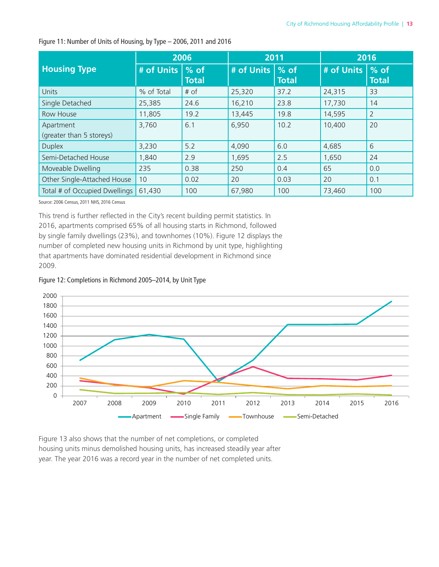|                                       | 2006       |                         | 2011              |              | 2016       |                        |
|---------------------------------------|------------|-------------------------|-------------------|--------------|------------|------------------------|
| <b>Housing Type</b>                   | # of Units | $\%$ of<br><b>Total</b> | # of Units   % of | <b>Total</b> | # of Units | $%$ of<br><b>Total</b> |
| <b>Units</b>                          | % of Total | # of                    | 25,320            | 37.2         | 24,315     | 33                     |
| Single Detached                       | 25,385     | 24.6                    | 16,210            | 23.8         | 17,730     | 14                     |
| Row House                             | 11,805     | 19.2                    | 13,445            | 19.8         | 14,595     | $\overline{2}$         |
| Apartment<br>(greater than 5 storeys) | 3,760      | 6.1                     | 6,950             | 10.2         | 10,400     | 20                     |
| <b>Duplex</b>                         | 3,230      | 5.2                     | 4,090             | 6.0          | 4,685      | 6                      |
| Semi-Detached House                   | 1,840      | 2.9                     | 1,695             | 2.5          | 1,650      | 24                     |
| Moveable Dwelling                     | 235        | 0.38                    | 250               | 0.4          | 65         | 0.0                    |
| Other Single-Attached House           | 10         | 0.02                    | 20                | 0.03         | 20         | 0.1                    |
| Total # of Occupied Dwellings         | 61,430     | 100                     | 67,980            | 100          | 73,460     | 100                    |

Figure 11: Number of Units of Housing, by Type – 2006, 2011 and 2016

Source: 2006 Census, 2011 NHS, 2016 Census

This trend is further reflected in the City's recent building permit statistics. In 2016, apartments comprised 65% of all housing starts in Richmond, followed by single family dwellings (23%), and townhomes (10%). Figure 12 displays the number of completed new housing units in Richmond by unit type, highlighting that apartments have dominated residential development in Richmond since 2009.

Figure 12: Completions in Richmond 2005–2014, by Unit Type



Figure 13 also shows that the number of net completions, or completed housing units minus demolished housing units, has increased steadily year after year. The year 2016 was a record year in the number of net completed units.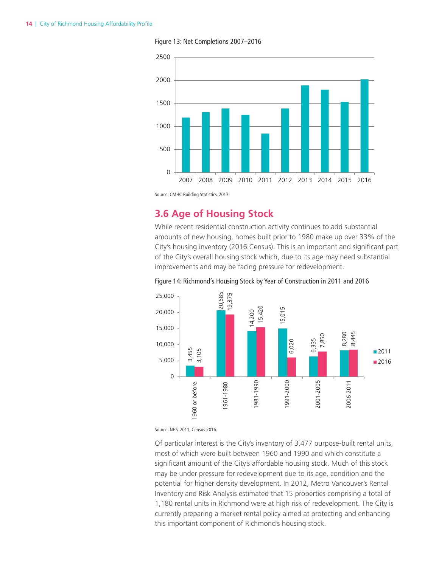

Figure 13: Net Completions 2007–2016

Source: CMHC Building Statistics, 2017.

### **3.6 Age of Housing Stock**

While recent residential construction activity continues to add substantial amounts of new housing, homes built prior to 1980 make up over 33% of the City's housing inventory (2016 Census). This is an important and significant part of the City's overall housing stock which, due to its age may need substantial improvements and may be facing pressure for redevelopment.



Figure 14: Richmond's Housing Stock by Year of Construction in 2011 and 2016

Source: NHS, 2011, Census 2016.

Of particular interest is the City's inventory of 3,477 purpose-built rental units, most of which were built between 1960 and 1990 and which constitute a significant amount of the City's affordable housing stock. Much of this stock may be under pressure for redevelopment due to its age, condition and the potential for higher density development. In 2012, Metro Vancouver's Rental Inventory and Risk Analysis estimated that 15 properties comprising a total of 1,180 rental units in Richmond were at high risk of redevelopment. The City is currently preparing a market rental policy aimed at protecting and enhancing this important component of Richmond's housing stock.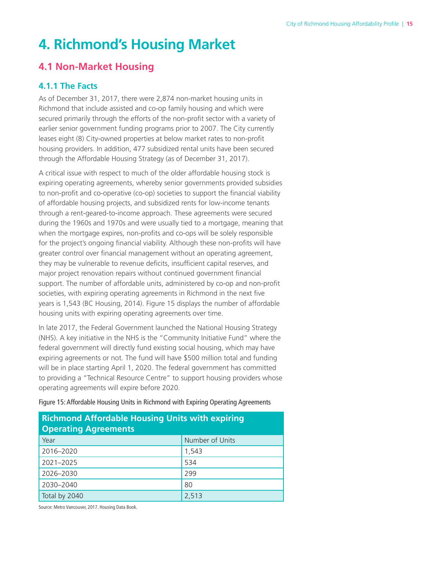## **4. Richmond's Housing Market**

### **4.1 Non-Market Housing**

#### **4.1.1 The Facts**

As of December 31, 2017, there were 2,874 non-market housing units in Richmond that include assisted and co-op family housing and which were secured primarily through the efforts of the non-profit sector with a variety of earlier senior government funding programs prior to 2007. The City currently leases eight (8) City-owned properties at below market rates to non-profit housing providers. In addition, 477 subsidized rental units have been secured through the Affordable Housing Strategy (as of December 31, 2017).

A critical issue with respect to much of the older affordable housing stock is expiring operating agreements, whereby senior governments provided subsidies to non-profit and co-operative (co-op) societies to support the financial viability of affordable housing projects, and subsidized rents for low-income tenants through a rent-geared-to-income approach. These agreements were secured during the 1960s and 1970s and were usually tied to a mortgage, meaning that when the mortgage expires, non-profits and co-ops will be solely responsible for the project's ongoing financial viability. Although these non-profits will have greater control over financial management without an operating agreement, they may be vulnerable to revenue deficits, insufficient capital reserves, and major project renovation repairs without continued government financial support. The number of affordable units, administered by co-op and non-profit societies, with expiring operating agreements in Richmond in the next five years is 1,543 (BC Housing, 2014). Figure 15 displays the number of affordable housing units with expiring operating agreements over time.

In late 2017, the Federal Government launched the National Housing Strategy (NHS). A key initiative in the NHS is the "Community Initiative Fund" where the federal government will directly fund existing social housing, which may have expiring agreements or not. The fund will have \$500 million total and funding will be in place starting April 1, 2020. The federal government has committed to providing a "Technical Resource Centre" to support housing providers whose operating agreements will expire before 2020.

Figure 15: Affordable Housing Units in Richmond with Expiring Operating Agreements

| <b>Richmond Affordable Housing Units with expiring</b><br><b>Operating Agreements</b> |                 |  |  |  |  |
|---------------------------------------------------------------------------------------|-----------------|--|--|--|--|
| Year                                                                                  | Number of Units |  |  |  |  |
| 2016-2020                                                                             | 1,543           |  |  |  |  |
| 2021-2025                                                                             | 534             |  |  |  |  |
| 2026-2030                                                                             | 299             |  |  |  |  |
| 2030-2040                                                                             | 80              |  |  |  |  |
| Total by 2040                                                                         | 2,513           |  |  |  |  |

Source: Metro Vancouver, 2017. Housing Data Book.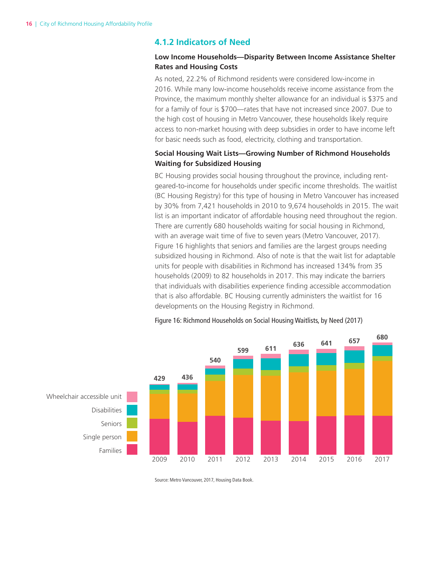#### **4.1.2 Indicators of Need**

#### **Low Income Households—Disparity Between Income Assistance Shelter Rates and Housing Costs**

As noted, 22.2% of Richmond residents were considered low-income in 2016. While many low-income households receive income assistance from the Province, the maximum monthly shelter allowance for an individual is \$375 and for a family of four is \$700—rates that have not increased since 2007. Due to the high cost of housing in Metro Vancouver, these households likely require access to non-market housing with deep subsidies in order to have income left for basic needs such as food, electricity, clothing and transportation.

#### **Social Housing Wait Lists—Growing Number of Richmond Households Waiting for Subsidized Housing**

BC Housing provides social housing throughout the province, including rentgeared-to-income for households under specific income thresholds. The waitlist (BC Housing Registry) for this type of housing in Metro Vancouver has increased by 30% from 7,421 households in 2010 to 9,674 households in 2015. The wait list is an important indicator of affordable housing need throughout the region. There are currently 680 households waiting for social housing in Richmond, with an average wait time of five to seven years (Metro Vancouver, 2017). Figure 16 highlights that seniors and families are the largest groups needing subsidized housing in Richmond. Also of note is that the wait list for adaptable units for people with disabilities in Richmond has increased 134% from 35 households (2009) to 82 households in 2017. This may indicate the barriers that individuals with disabilities experience finding accessible accommodation that is also affordable. BC Housing currently administers the waitlist for 16 developments on the Housing Registry in Richmond.



Figure 16: Richmond Households on Social Housing Waitlists, by Need (2017)

Source: Metro Vancouver, 2017, Housing Data Book.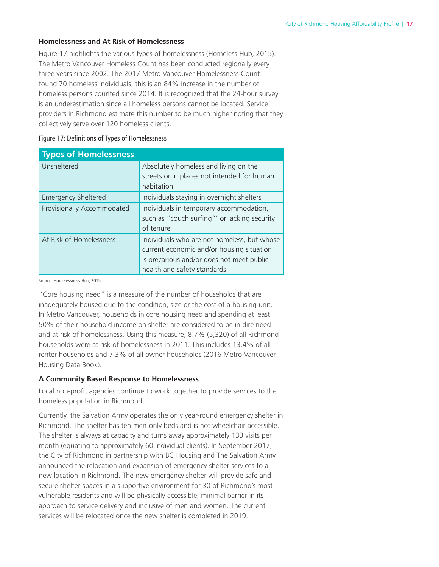#### **Homelessness and At Risk of Homelessness**

Figure 17 highlights the various types of homelessness (Homeless Hub, 2015). The Metro Vancouver Homeless Count has been conducted regionally every three years since 2002. The 2017 Metro Vancouver Homelessness Count found 70 homeless individuals; this is an 84% increase in the number of homeless persons counted since 2014. It is recognized that the 24-hour survey is an underestimation since all homeless persons cannot be located. Service providers in Richmond estimate this number to be much higher noting that they collectively serve over 120 homeless clients.

|  |  |  | Figure 17: Definitions of Types of Homelessness |
|--|--|--|-------------------------------------------------|
|  |  |  |                                                 |

| <b>Types of Homelessness</b> |                                                                                      |
|------------------------------|--------------------------------------------------------------------------------------|
| Unsheltered                  | Absolutely homeless and living on the<br>streets or in places not intended for human |
|                              | habitation                                                                           |
| <b>Emergency Sheltered</b>   | Individuals staying in overnight shelters                                            |
| Provisionally Accommodated   | Individuals in temporary accommodation,                                              |
|                              | such as "couch surfing"' or lacking security                                         |
|                              | of tenure                                                                            |
| At Risk of Homelessness      | Individuals who are not homeless, but whose                                          |
|                              | current economic and/or housing situation                                            |
|                              | is precarious and/or does not meet public                                            |
|                              | health and safety standards                                                          |

Source: Homelessness Hub, 2015.

"Core housing need" is a measure of the number of households that are inadequately housed due to the condition, size or the cost of a housing unit. In Metro Vancouver, households in core housing need and spending at least 50% of their household income on shelter are considered to be in dire need and at risk of homelessness. Using this measure, 8.7% (5,320) of all Richmond households were at risk of homelessness in 2011. This includes 13.4% of all renter households and 7.3% of all owner households (2016 Metro Vancouver Housing Data Book).

#### **A Community Based Response to Homelessness**

Local non-profit agencies continue to work together to provide services to the homeless population in Richmond.

Currently, the Salvation Army operates the only year-round emergency shelter in Richmond. The shelter has ten men-only beds and is not wheelchair accessible. The shelter is always at capacity and turns away approximately 133 visits per month (equating to approximately 60 individual clients). In September 2017, the City of Richmond in partnership with BC Housing and The Salvation Army announced the relocation and expansion of emergency shelter services to a new location in Richmond. The new emergency shelter will provide safe and secure shelter spaces in a supportive environment for 30 of Richmond's most vulnerable residents and will be physically accessible, minimal barrier in its approach to service delivery and inclusive of men and women. The current services will be relocated once the new shelter is completed in 2019.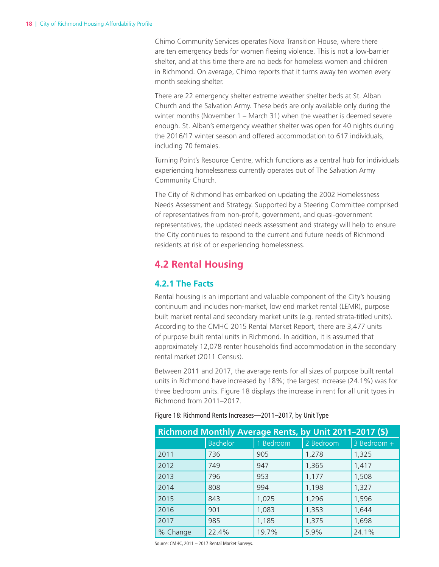Chimo Community Services operates Nova Transition House, where there are ten emergency beds for women fleeing violence. This is not a low-barrier shelter, and at this time there are no beds for homeless women and children in Richmond. On average, Chimo reports that it turns away ten women every month seeking shelter.

There are 22 emergency shelter extreme weather shelter beds at St. Alban Church and the Salvation Army. These beds are only available only during the winter months (November 1 – March 31) when the weather is deemed severe enough. St. Alban's emergency weather shelter was open for 40 nights during the 2016/17 winter season and offered accommodation to 617 individuals, including 70 females.

Turning Point's Resource Centre, which functions as a central hub for individuals experiencing homelessness currently operates out of The Salvation Army Community Church.

The City of Richmond has embarked on updating the 2002 Homelessness Needs Assessment and Strategy. Supported by a Steering Committee comprised of representatives from non-profit, government, and quasi-government representatives, the updated needs assessment and strategy will help to ensure the City continues to respond to the current and future needs of Richmond residents at risk of or experiencing homelessness.

## **4.2 Rental Housing**

#### **4.2.1 The Facts**

Rental housing is an important and valuable component of the City's housing continuum and includes non-market, low end market rental (LEMR), purpose built market rental and secondary market units (e.g. rented strata-titled units). According to the CMHC 2015 Rental Market Report, there are 3,477 units of purpose built rental units in Richmond. In addition, it is assumed that approximately 12,078 renter households find accommodation in the secondary rental market (2011 Census).

Between 2011 and 2017, the average rents for all sizes of purpose built rental units in Richmond have increased by 18%; the largest increase (24.1%) was for three bedroom units. Figure 18 displays the increase in rent for all unit types in Richmond from 2011–2017.

| Richmond Monthly Average Rents, by Unit 2011-2017 (\$) |                 |           |           |             |  |  |  |
|--------------------------------------------------------|-----------------|-----------|-----------|-------------|--|--|--|
|                                                        | <b>Bachelor</b> | 1 Bedroom | 2 Bedroom | 3 Bedroom + |  |  |  |
| 2011                                                   | 736             | 905       | 1,278     | 1,325       |  |  |  |
| 2012                                                   | 749             | 947       | 1,365     | 1,417       |  |  |  |
| 2013                                                   | 796             | 953       | 1,177     | 1,508       |  |  |  |
| 2014                                                   | 808             | 994       | 1,198     | 1,327       |  |  |  |
| 2015                                                   | 843             | 1,025     | 1,296     | 1,596       |  |  |  |
| 2016                                                   | 901             | 1,083     | 1,353     | 1,644       |  |  |  |
| 2017                                                   | 985             | 1,185     | 1,375     | 1,698       |  |  |  |
| % Change                                               | 22.4%           | 19.7%     | 5.9%      | 24.1%       |  |  |  |

|  | Figure 18: Richmond Rents Increases-2011-2017, by Unit Type |  |
|--|-------------------------------------------------------------|--|
|  |                                                             |  |

Source: CMHC, 2011 – 2017 Rental Market Surveys.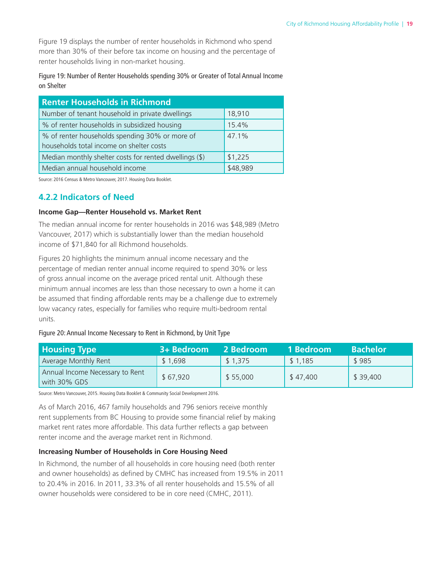Figure 19 displays the number of renter households in Richmond who spend more than 30% of their before tax income on housing and the percentage of renter households living in non-market housing.

#### Figure 19: Number of Renter Households spending 30% or Greater of Total Annual Income on Shelter

| <b>Renter Households in Richmond</b>                   |          |
|--------------------------------------------------------|----------|
| Number of tenant household in private dwellings        | 18,910   |
| % of renter households in subsidized housing           | 15.4%    |
| % of renter households spending 30% or more of         | 47.1%    |
| households total income on shelter costs               |          |
| Median monthly shelter costs for rented dwellings (\$) | \$1,225  |
| Median annual household income                         | \$48,989 |

Source: 2016 Census & Metro Vancouver, 2017. Housing Data Booklet.

#### **4.2.2 Indicators of Need**

#### **Income Gap—Renter Household vs. Market Rent**

The median annual income for renter households in 2016 was \$48,989 (Metro Vancouver, 2017) which is substantially lower than the median household income of \$71,840 for all Richmond households.

Figures 20 highlights the minimum annual income necessary and the percentage of median renter annual income required to spend 30% or less of gross annual income on the average priced rental unit. Although these minimum annual incomes are less than those necessary to own a home it can be assumed that finding affordable rents may be a challenge due to extremely low vacancy rates, especially for families who require multi-bedroom rental units.

#### Figure 20: Annual Income Necessary to Rent in Richmond, by Unit Type

| <b>Housing Type</b>                             | 3+ Bedroom | 2 Bedroom | 1 Bedroom | <b>Bachelor</b> |
|-------------------------------------------------|------------|-----------|-----------|-----------------|
| Average Monthly Rent                            | \$1,698    | \$1,375   | \$1.185   | \$985           |
| Annual Income Necessary to Rent<br>with 30% GDS | \$67,920   | \$55,000  | \$47,400  | \$39,400        |

Source: Metro Vancouver, 2015. Housing Data Booklet & Community Social Development 2016.

As of March 2016, 467 family households and 796 seniors receive monthly rent supplements from BC Housing to provide some financial relief by making market rent rates more affordable. This data further reflects a gap between renter income and the average market rent in Richmond.

#### **Increasing Number of Households in Core Housing Need**

In Richmond, the number of all households in core housing need (both renter and owner households) as defined by CMHC has increased from 19.5% in 2011 to 20.4% in 2016. In 2011, 33.3% of all renter households and 15.5% of all owner households were considered to be in core need (CMHC, 2011).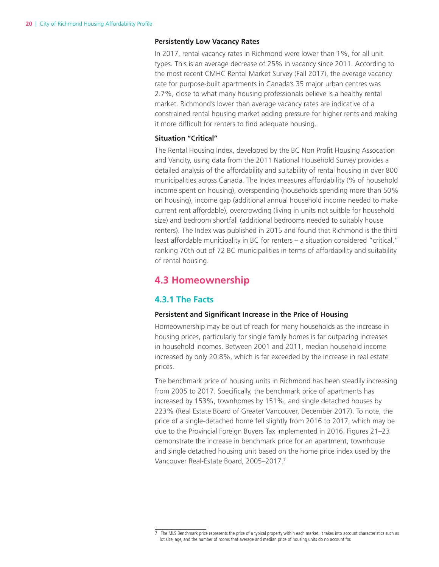#### **Persistently Low Vacancy Rates**

In 2017, rental vacancy rates in Richmond were lower than 1%, for all unit types. This is an average decrease of 25% in vacancy since 2011. According to the most recent CMHC Rental Market Survey (Fall 2017), the average vacancy rate for purpose-built apartments in Canada's 35 major urban centres was 2.7%, close to what many housing professionals believe is a healthy rental market. Richmond's lower than average vacancy rates are indicative of a constrained rental housing market adding pressure for higher rents and making it more difficult for renters to find adequate housing.

#### **Situation "Critical"**

The Rental Housing Index, developed by the BC Non Profit Housing Assocation and Vancity, using data from the 2011 National Household Survey provides a detailed analysis of the affordability and suitability of rental housing in over 800 municipalities across Canada. The Index measures affordability (% of household income spent on housing), overspending (households spending more than 50% on housing), income gap (additional annual household income needed to make current rent affordable), overcrowding (living in units not suitble for household size) and bedroom shortfall (additional bedrooms needed to suitably house renters). The Index was published in 2015 and found that Richmond is the third least affordable municipality in BC for renters – a situation considered "critical," ranking 70th out of 72 BC municipalities in terms of affordability and suitability of rental housing.

### **4.3 Homeownership**

#### **4.3.1 The Facts**

#### **Persistent and Significant Increase in the Price of Housing**

Homeownership may be out of reach for many households as the increase in housing prices, particularly for single family homes is far outpacing increases in household incomes. Between 2001 and 2011, median household income increased by only 20.8%, which is far exceeded by the increase in real estate prices.

The benchmark price of housing units in Richmond has been steadily increasing from 2005 to 2017. Specifically, the benchmark price of apartments has increased by 153%, townhomes by 151%, and single detached houses by 223% (Real Estate Board of Greater Vancouver, December 2017). To note, the price of a single-detached home fell slightly from 2016 to 2017, which may be due to the Provincial Foreign Buyers Tax implemented in 2016. Figures 21–23 demonstrate the increase in benchmark price for an apartment, townhouse and single detached housing unit based on the home price index used by the Vancouver Real-Estate Board, 2005–2017.7

The MLS Benchmark price represents the price of a typical property within each market. It takes into account characteristics such as lot size, age, and the number of rooms that average and median price of housing units do no account for.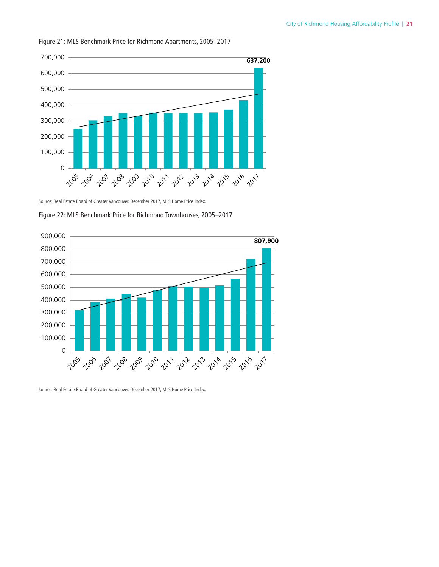

Figure 21: MLS Benchmark Price for Richmond Apartments, 2005–2017

Source: Real Estate Board of Greater Vancouver. December 2017, MLS Home Price Index.

Figure 22: MLS Benchmark Price for Richmond Townhouses, 2005–2017



Source: Real Estate Board of Greater Vancouver. December 2017, MLS Home Price Index.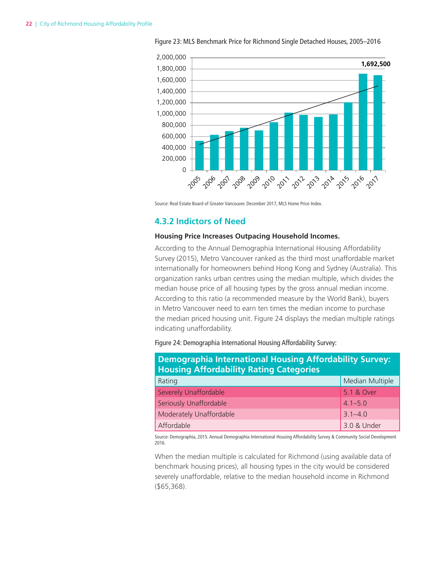

Figure 23: MLS Benchmark Price for Richmond Single Detached Houses, 2005–2016

Source: Real Estate Board of Greater Vancouver. December 2017, MLS Home Price Index.

#### **4.3.2 Indictors of Need**

#### **Housing Price Increases Outpacing Household Incomes.**

According to the Annual Demographia International Housing Affordability Survey (2015), Metro Vancouver ranked as the third most unaffordable market internationally for homeowners behind Hong Kong and Sydney (Australia). This organization ranks urban centres using the median multiple, which divides the median house price of all housing types by the gross annual median income. According to this ratio (a recommended measure by the World Bank), buyers in Metro Vancouver need to earn ten times the median income to purchase the median priced housing unit. Figure 24 displays the median multiple ratings indicating unaffordability.

Figure 24: Demographia International Housing Affordability Survey:

| <b>Demographia International Housing Affordability Survey:</b><br><b>Housing Affordability Rating Categories</b> |                 |  |
|------------------------------------------------------------------------------------------------------------------|-----------------|--|
| Rating                                                                                                           | Median Multiple |  |
| Severely Unaffordable                                                                                            | 5.1 & Over      |  |
| Seriously Unaffordable                                                                                           | $4.1 - 5.0$     |  |
| Moderately Unaffordable                                                                                          | $3.1 - 4.0$     |  |
| Affordable                                                                                                       | 3.0 & Under     |  |

Source: Demographia, 2015. Annual Demographia International Housing Affordability Survey & Community Social Development 2016.

When the median multiple is calculated for Richmond (using available data of benchmark housing prices), all housing types in the city would be considered severely unaffordable, relative to the median household income in Richmond (\$65,368).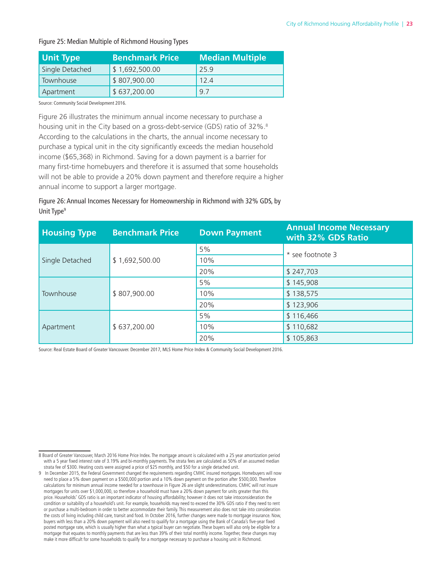| <b>Unit Type</b> | <b>Benchmark Price</b> | <b>Median Multiple</b> |
|------------------|------------------------|------------------------|
| Single Detached  | \$1,692,500.00         | 25.9                   |
| Townhouse        | \$807,900.00           | 12.4                   |
| Apartment        | \$637,200.00           | 9.7                    |

Figure 25: Median Multiple of Richmond Housing Types

Source: Community Social Development 2016.

Figure 26 illustrates the minimum annual income necessary to purchase a housing unit in the City based on a gross-debt-service (GDS) ratio of 32%.<sup>8</sup> According to the calculations in the charts, the annual income necessary to purchase a typical unit in the city significantly exceeds the median household income (\$65,368) in Richmond. Saving for a down payment is a barrier for many first-time homebuyers and therefore it is assumed that some households will not be able to provide a 20% down payment and therefore require a higher annual income to support a larger mortgage.

Figure 26: Annual Incomes Necessary for Homeownership in Richmond with 32% GDS, by Unit Type<sup>9</sup>

| <b>Housing Type</b> | <b>Benchmark Price</b> | <b>Down Payment</b> | <b>Annual Income Necessary</b><br>with 32% GDS Ratio |  |
|---------------------|------------------------|---------------------|------------------------------------------------------|--|
|                     |                        | 5%                  |                                                      |  |
| Single Detached     | \$1,692,500.00         | 10%                 | * see footnote 3                                     |  |
|                     |                        | 20%                 | \$247,703                                            |  |
|                     | \$807,900.00           | 5%                  | \$145,908                                            |  |
| Townhouse           |                        | 10%                 | \$138,575                                            |  |
|                     |                        | 20%                 | \$123,906                                            |  |
|                     | \$637,200.00           | 5%                  | \$116,466                                            |  |
| Apartment           |                        | 10%                 | \$110,682                                            |  |
|                     |                        | 20%                 | \$105,863                                            |  |

Source: Real Estate Board of Greater Vancouver. December 2017, MLS Home Price Index & Community Social Development 2016.

<sup>8</sup> Board of Greater Vancouver, March 2016 Home Price Index. The mortgage amount is calculated with a 25 year amortization period with a 5 year fixed interest rate of 3.19% and bi-monthly payments. The strata fees are calculated as 50% of an assumed median strata fee of \$300. Heating costs were assigned a price of \$25 monthly, and \$50 for a single detached unit.

<sup>9</sup> In December 2015, the Federal Government changed the requirements regarding CMHC insured mortgages. Homebuyers will now need to place a 5% down payment on a \$500,000 portion and a 10% down payment on the portion after \$500,000. Therefore calculations for minimum annual income needed for a townhouse in Figure 26 are slight underestimations. CMHC will not insure mortgages for units over \$1,000,000, so therefore a household must have a 20% down payment for units greater than this price. Households' GDS ratio is an important indicator of housing affordability; however it does not take intoconsideration the condition or suitability of a household's unit. For example, households may need to exceed the 30% GDS ratio if they need to rent or purchase a multi-bedroom in order to better accommodate their family. This measurement also does not take into consideration the costs of living including child care, transit and food. In October 2016, further changes were made to mortgage insurance. Now, buyers with less than a 20% down payment will also need to qualify for a mortgage using the Bank of Canada's five-year fixed posted mortgage rate, which is usually higher than what a typical buyer can negotiate. These buyers will also only be eligible for a mortgage that equates to monthly payments that are less than 39% of their total monthly income. Together, these changes may make it more difficult for some households to qualify for a mortgage necessary to purchase a housing unit in Richmond.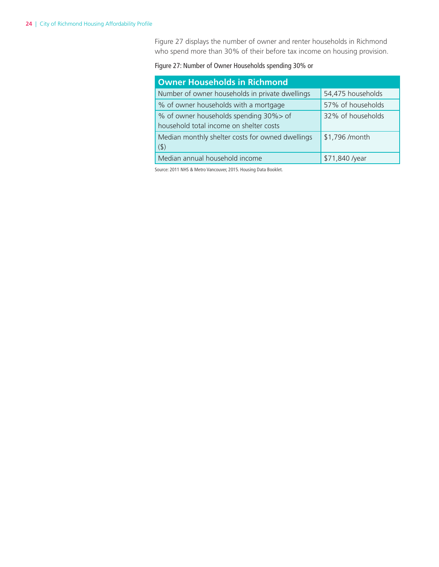Figure 27 displays the number of owner and renter households in Richmond who spend more than 30% of their before tax income on housing provision.

#### Figure 27: Number of Owner Households spending 30% or

| <b>Owner Households in Richmond</b>              |                   |
|--------------------------------------------------|-------------------|
| Number of owner households in private dwellings  | 54,475 households |
| % of owner households with a mortgage            | 57% of households |
| % of owner households spending 30% > of          | 32% of households |
| household total income on shelter costs          |                   |
| Median monthly shelter costs for owned dwellings | \$1,796 / month   |
| (5)                                              |                   |
| Median annual household income                   | \$71,840 /year    |

Source: 2011 NHS & Metro Vancouver, 2015. Housing Data Booklet.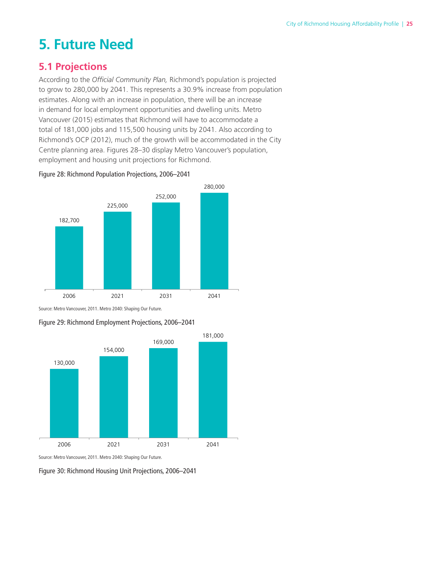## **5. Future Need**

## **5.1 Projections**

According to the *Official Community Plan,* Richmond's population is projected to grow to 280,000 by 2041. This represents a 30.9% increase from population estimates. Along with an increase in population, there will be an increase in demand for local employment opportunities and dwelling units. Metro Vancouver (2015) estimates that Richmond will have to accommodate a total of 181,000 jobs and 115,500 housing units by 2041. Also according to Richmond's OCP (2012), much of the growth will be accommodated in the City Centre planning area. Figures 28–30 display Metro Vancouver's population, employment and housing unit projections for Richmond.

#### Figure 28: Richmond Population Projections, 2006–2041



Source: Metro Vancouver, 2011. Metro 2040: Shaping Our Future.

#### Figure 29: Richmond Employment Projections, 2006–2041



Source: Metro Vancouver, 2011. Metro 2040: Shaping Our Future.

Figure 30: Richmond Housing Unit Projections, 2006–2041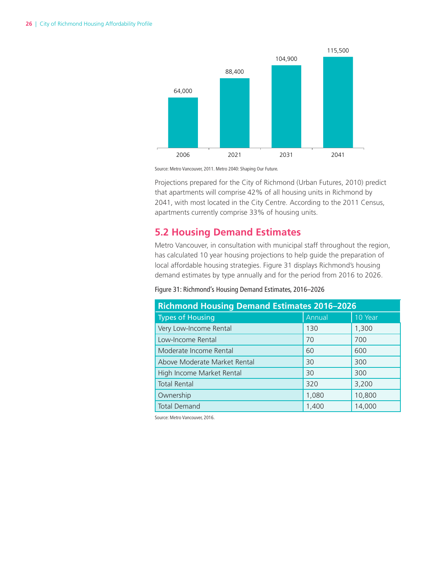

Source: Metro Vancouver, 2011. Metro 2040: Shaping Our Future.

Projections prepared for the City of Richmond (Urban Futures, 2010) predict that apartments will comprise 42% of all housing units in Richmond by 2041, with most located in the City Centre. According to the 2011 Census, apartments currently comprise 33% of housing units.

### **5.2 Housing Demand Estimates**

Metro Vancouver, in consultation with municipal staff throughout the region, has calculated 10 year housing projections to help guide the preparation of local affordable housing strategies. Figure 31 displays Richmond's housing demand estimates by type annually and for the period from 2016 to 2026.

#### Figure 31: Richmond's Housing Demand Estimates, 2016–2026

| <b>Richmond Housing Demand Estimates 2016-2026</b> |        |         |  |
|----------------------------------------------------|--------|---------|--|
| <b>Types of Housing</b>                            | Annual | 10 Year |  |
| Very Low-Income Rental                             | 130    | 1,300   |  |
| Low-Income Rental                                  | 70     | 700     |  |
| Moderate Income Rental                             | 60     | 600     |  |
| Above Moderate Market Rental                       | 30     | 300     |  |
| High Income Market Rental                          | 30     | 300     |  |
| <b>Total Rental</b>                                | 320    | 3,200   |  |
| Ownership                                          | 1,080  | 10,800  |  |
| <b>Total Demand</b>                                | 1,400  | 14,000  |  |

Source: Metro Vancouver, 2016.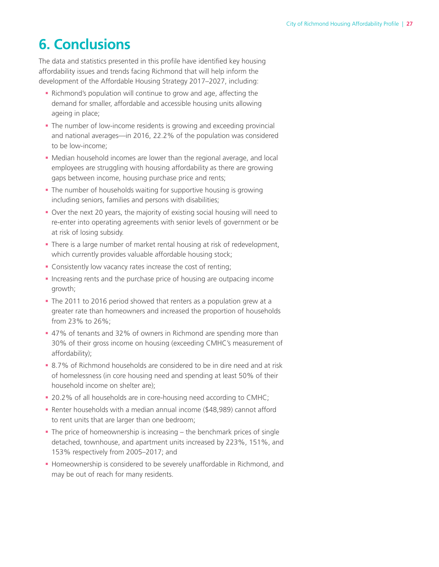## **6. Conclusions**

The data and statistics presented in this profile have identified key housing affordability issues and trends facing Richmond that will help inform the development of the Affordable Housing Strategy 2017–2027, including:

- Richmond's population will continue to grow and age, affecting the demand for smaller, affordable and accessible housing units allowing ageing in place;
- **The number of low-income residents is growing and exceeding provincial** and national averages—in 2016, 22.2% of the population was considered to be low-income;
- Median household incomes are lower than the regional average, and local employees are struggling with housing affordability as there are growing gaps between income, housing purchase price and rents;
- The number of households waiting for supportive housing is growing including seniors, families and persons with disabilities;
- Over the next 20 years, the majority of existing social housing will need to re-enter into operating agreements with senior levels of government or be at risk of losing subsidy.
- There is a large number of market rental housing at risk of redevelopment, which currently provides valuable affordable housing stock;
- Consistently low vacancy rates increase the cost of renting;
- **Increasing rents and the purchase price of housing are outpacing income** growth;
- The 2011 to 2016 period showed that renters as a population grew at a greater rate than homeowners and increased the proportion of households from 23% to 26%;
- 47% of tenants and 32% of owners in Richmond are spending more than 30% of their gross income on housing (exceeding CMHC's measurement of affordability);
- 8.7% of Richmond households are considered to be in dire need and at risk of homelessness (in core housing need and spending at least 50% of their household income on shelter are);
- **20.2% of all households are in core-housing need according to CMHC;**
- Renter households with a median annual income (\$48,989) cannot afford to rent units that are larger than one bedroom;
- The price of homeownership is increasing the benchmark prices of single detached, townhouse, and apartment units increased by 223%, 151%, and 153% respectively from 2005–2017; and
- Homeownership is considered to be severely unaffordable in Richmond, and may be out of reach for many residents.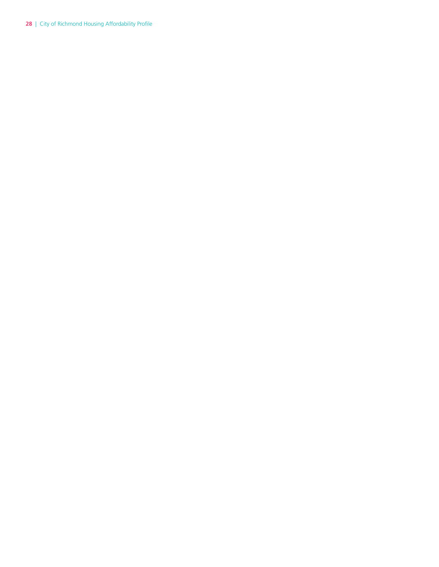| City of Richmond Housing Affordability Profile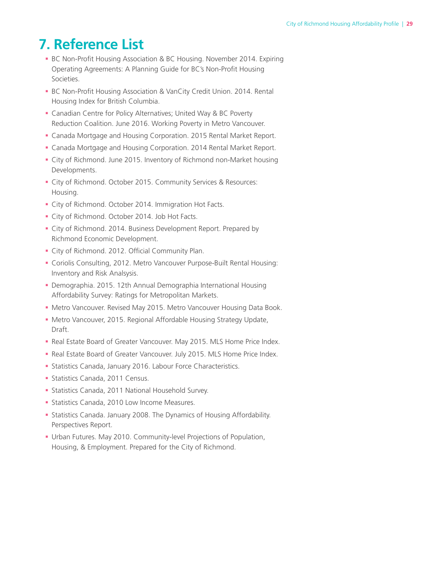## **7. Reference List**

- BC Non-Profit Housing Association & BC Housing. November 2014. Expiring Operating Agreements: A Planning Guide for BC's Non-Profit Housing Societies.
- BC Non-Profit Housing Association & VanCity Credit Union. 2014. Rental Housing Index for British Columbia.
- Canadian Centre for Policy Alternatives; United Way & BC Poverty Reduction Coalition. June 2016. Working Poverty in Metro Vancouver.
- Canada Mortgage and Housing Corporation. 2015 Rental Market Report.
- Canada Mortgage and Housing Corporation. 2014 Rental Market Report.
- City of Richmond. June 2015. Inventory of Richmond non-Market housing Developments.
- City of Richmond. October 2015. Community Services & Resources: Housing.
- **-** City of Richmond. October 2014. Immigration Hot Facts.
- City of Richmond. October 2014. Job Hot Facts.
- City of Richmond. 2014. Business Development Report. Prepared by Richmond Economic Development.
- City of Richmond. 2012. Official Community Plan.
- Coriolis Consulting, 2012. Metro Vancouver Purpose-Built Rental Housing: Inventory and Risk Analsysis.
- Demographia. 2015. 12th Annual Demographia International Housing Affordability Survey: Ratings for Metropolitan Markets.
- Metro Vancouver. Revised May 2015. Metro Vancouver Housing Data Book.
- Metro Vancouver, 2015. Regional Affordable Housing Strategy Update, Draft.
- Real Estate Board of Greater Vancouver. May 2015. MLS Home Price Index.
- Real Estate Board of Greater Vancouver. July 2015. MLS Home Price Index.
- **Statistics Canada, January 2016. Labour Force Characteristics.**
- **Statistics Canada, 2011 Census.**
- Statistics Canada, 2011 National Household Survey.
- **Statistics Canada, 2010 Low Income Measures.**
- Statistics Canada. January 2008. The Dynamics of Housing Affordability. Perspectives Report.
- Urban Futures. May 2010. Community-level Projections of Population, Housing, & Employment. Prepared for the City of Richmond.